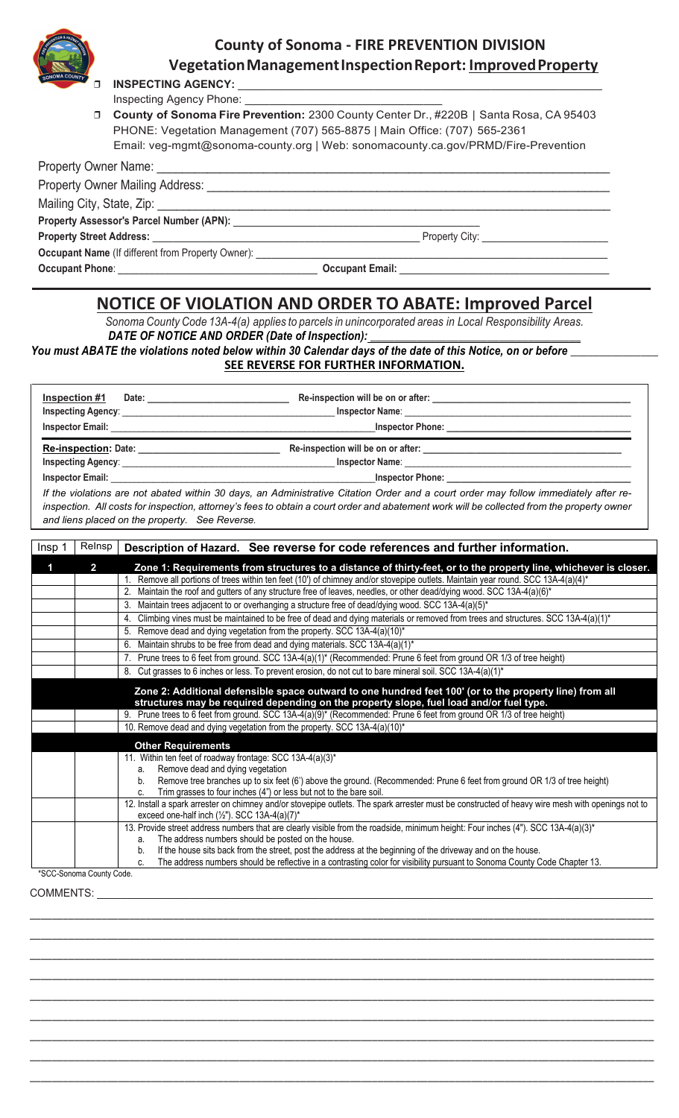

## *<sup>C</sup>***County of Sonoma - FIRE PREVENTION DIVISION VegetationManagementInspectionReport: ImprovedProperty**

**INSPECTING AGENCY:** 

Inspecting Agency Phone:

❒ **County of Sonoma Fire Prevention:** 2300 County Center Dr., #220B | Santa Rosa, CA 95403 PHONE: Vegetation Management (707) 565-8875 | Main Office: (707) 565-2361 Email: veg-mgmt@sonoma-county.org | Web: sonomacounty.ca.gov/PRMD/Fire-Prevention

| <b>Property Owner Name:</b>                                                          |                                              |  |
|--------------------------------------------------------------------------------------|----------------------------------------------|--|
| <b>Property Owner Mailing Address:</b>                                               |                                              |  |
|                                                                                      |                                              |  |
| Property Assessor's Parcel Number (APN): Network and Assessor's Parcel Number (APN): |                                              |  |
|                                                                                      | Property City: <u>______________________</u> |  |
| <b>Occupant Name</b> (If different from Property Owner):                             |                                              |  |
| <b>Occupant Phone:</b>                                                               | <b>Occupant Email:</b>                       |  |

## **NOTICE OF VIOLATION AND ORDER TO ABATE: Improved Parcel**

*Sonoma County Code 13A-4(a) applies to parcels in unincorporated areas in Local Responsibility Areas.* DATE OF NOTICE AND ORDER (Date of Inspection):

*You must ABATE the violations noted below within 30 Calendar days of the date of this Notice, on or before \_\_\_\_\_\_\_\_\_\_\_\_\_\_\_* **SEE REVERSE FOR FURTHER INFORMATION.**

| Inspector Phone: <u>Cambridge Communication</u>                                                                                                                                                                                                                                                                                                                                                                                                                                                                                                                                                                                                                                                                                                                                                                                                                                                                                                                                                                                                                                                                                                                                                                                                                                                                                                                                                                                                                                                                                                         |                                                                                                                                                                                                                                                                                                                                      |
|---------------------------------------------------------------------------------------------------------------------------------------------------------------------------------------------------------------------------------------------------------------------------------------------------------------------------------------------------------------------------------------------------------------------------------------------------------------------------------------------------------------------------------------------------------------------------------------------------------------------------------------------------------------------------------------------------------------------------------------------------------------------------------------------------------------------------------------------------------------------------------------------------------------------------------------------------------------------------------------------------------------------------------------------------------------------------------------------------------------------------------------------------------------------------------------------------------------------------------------------------------------------------------------------------------------------------------------------------------------------------------------------------------------------------------------------------------------------------------------------------------------------------------------------------------|--------------------------------------------------------------------------------------------------------------------------------------------------------------------------------------------------------------------------------------------------------------------------------------------------------------------------------------|
|                                                                                                                                                                                                                                                                                                                                                                                                                                                                                                                                                                                                                                                                                                                                                                                                                                                                                                                                                                                                                                                                                                                                                                                                                                                                                                                                                                                                                                                                                                                                                         | If the violations are not abated within 30 days, an Administrative Citation Order and a court order may follow immediately after re-<br>inspection. All costs for inspection, attorney's fees to obtain a court order and abatement work will be collected from the property owner<br>and liens placed on the property. See Reverse. |
| Relnsp<br>Insp <sub>1</sub>                                                                                                                                                                                                                                                                                                                                                                                                                                                                                                                                                                                                                                                                                                                                                                                                                                                                                                                                                                                                                                                                                                                                                                                                                                                                                                                                                                                                                                                                                                                             | Description of Hazard. See reverse for code references and further information.                                                                                                                                                                                                                                                      |
| $\overline{2}$<br>Zone 1: Requirements from structures to a distance of thirty-feet, or to the property line, whichever is closer.<br>1<br>1. Remove all portions of trees within ten feet (10') of chimney and/or stovepipe outlets. Maintain year round. SCC 13A-4(a)(4)*<br>2. Maintain the roof and gutters of any structure free of leaves, needles, or other dead/dying wood. SCC 13A-4(a)(6)*<br>3. Maintain trees adjacent to or overhanging a structure free of dead/dying wood. SCC 13A-4(a)(5)*<br>4. Climbing vines must be maintained to be free of dead and dying materials or removed from trees and structures. SCC 13A-4(a)(1)*<br>5. Remove dead and dying vegetation from the property. SCC 13A-4(a)(10)*<br>6. Maintain shrubs to be free from dead and dying materials. SCC 13A-4(a)(1)*<br>7. Prune trees to 6 feet from ground. SCC 13A-4(a)(1)* (Recommended: Prune 6 feet from ground OR 1/3 of tree height)<br>8. Cut grasses to 6 inches or less. To prevent erosion, do not cut to bare mineral soil. SCC 13A-4(a)(1)*<br>Zone 2: Additional defensible space outward to one hundred feet 100' (or to the property line) from all<br>structures may be required depending on the property slope, fuel load and/or fuel type.<br>9. Prune trees to 6 feet from ground. SCC 13A-4(a)(9)* (Recommended: Prune 6 feet from ground OR 1/3 of tree height)<br>10. Remove dead and dying vegetation from the property. SCC 13A-4(a)(10)*<br><b>Other Requirements</b><br>11. Within ten feet of roadway frontage: SCC 13A-4(a)(3)* |                                                                                                                                                                                                                                                                                                                                      |
|                                                                                                                                                                                                                                                                                                                                                                                                                                                                                                                                                                                                                                                                                                                                                                                                                                                                                                                                                                                                                                                                                                                                                                                                                                                                                                                                                                                                                                                                                                                                                         | a. Remove dead and dying vegetation<br>b. Remove tree branches up to six feet (6') above the ground. (Recommended: Prune 6 feet from ground OR 1/3 of tree height)                                                                                                                                                                   |

c. Trim grasses to four inches (4") or less but not to the bare soil. 12. Install a spark arrester on chimney and/or stovepipe outlets. The spark arrester must be constructed of heavy wire mesh with openings not to

exceed one-half inch  $(\frac{1}{2})$ . SCC 13A-4(a)(7)\* 13. Provide street address numbers that are clearly visible from the roadside, minimum height: Four inches (4"). SCC 13A-4(a)(3)\* a. The address numbers should be posted on the house.

b. If the house sits back from the street, post the address at the beginning of the driveway and on the house.

\_\_\_\_\_\_\_\_\_\_\_\_\_\_\_\_\_\_\_\_\_\_\_\_\_\_\_\_\_\_\_\_\_\_\_\_\_\_\_\_\_\_\_\_\_\_\_\_\_\_\_\_\_\_\_\_\_\_\_\_\_\_\_\_\_\_\_\_\_\_\_\_\_\_\_\_\_\_\_\_\_\_\_\_\_\_\_\_\_\_\_\_\_\_\_\_\_\_\_\_\_\_\_\_\_\_\_\_\_\_\_\_\_ \_\_\_\_\_\_\_\_\_\_\_\_\_\_\_\_\_\_\_\_\_\_\_\_\_\_\_\_\_\_\_\_\_\_\_\_\_\_\_\_\_\_\_\_\_\_\_\_\_\_\_\_\_\_\_\_\_\_\_\_\_\_\_\_\_\_\_\_\_\_\_\_\_\_\_\_\_\_\_\_\_\_\_\_\_\_\_\_\_\_\_\_\_\_\_\_\_\_\_\_\_\_\_\_\_\_\_\_\_\_\_\_\_ \_\_\_\_\_\_\_\_\_\_\_\_\_\_\_\_\_\_\_\_\_\_\_\_\_\_\_\_\_\_\_\_\_\_\_\_\_\_\_\_\_\_\_\_\_\_\_\_\_\_\_\_\_\_\_\_\_\_\_\_\_\_\_\_\_\_\_\_\_\_\_\_\_\_\_\_\_\_\_\_\_\_\_\_\_\_\_\_\_\_\_\_\_\_\_\_\_\_\_\_\_\_\_\_\_\_\_\_\_\_\_\_\_ \_\_\_\_\_\_\_\_\_\_\_\_\_\_\_\_\_\_\_\_\_\_\_\_\_\_\_\_\_\_\_\_\_\_\_\_\_\_\_\_\_\_\_\_\_\_\_\_\_\_\_\_\_\_\_\_\_\_\_\_\_\_\_\_\_\_\_\_\_\_\_\_\_\_\_\_\_\_\_\_\_\_\_\_\_\_\_\_\_\_\_\_\_\_\_\_\_\_\_\_\_\_\_\_\_\_\_\_\_\_\_\_\_ \_\_\_\_\_\_\_\_\_\_\_\_\_\_\_\_\_\_\_\_\_\_\_\_\_\_\_\_\_\_\_\_\_\_\_\_\_\_\_\_\_\_\_\_\_\_\_\_\_\_\_\_\_\_\_\_\_\_\_\_\_\_\_\_\_\_\_\_\_\_\_\_\_\_\_\_\_\_\_\_\_\_\_\_\_\_\_\_\_\_\_\_\_\_\_\_\_\_\_\_\_\_\_\_\_\_\_\_\_\_\_\_\_ \_\_\_\_\_\_\_\_\_\_\_\_\_\_\_\_\_\_\_\_\_\_\_\_\_\_\_\_\_\_\_\_\_\_\_\_\_\_\_\_\_\_\_\_\_\_\_\_\_\_\_\_\_\_\_\_\_\_\_\_\_\_\_\_\_\_\_\_\_\_\_\_\_\_\_\_\_\_\_\_\_\_\_\_\_\_\_\_\_\_\_\_\_\_\_\_\_\_\_\_\_\_\_\_\_\_\_\_\_\_\_\_\_ \_\_\_\_\_\_\_\_\_\_\_\_\_\_\_\_\_\_\_\_\_\_\_\_\_\_\_\_\_\_\_\_\_\_\_\_\_\_\_\_\_\_\_\_\_\_\_\_\_\_\_\_\_\_\_\_\_\_\_\_\_\_\_\_\_\_\_\_\_\_\_\_\_\_\_\_\_\_\_\_\_\_\_\_\_\_\_\_\_\_\_\_\_\_\_\_\_\_\_\_\_\_\_\_\_\_\_\_\_\_\_\_\_ \_\_\_\_\_\_\_\_\_\_\_\_\_\_\_\_\_\_\_\_\_\_\_\_\_\_\_\_\_\_\_\_\_\_\_\_\_\_\_\_\_\_\_\_\_\_\_\_\_\_\_\_\_\_\_\_\_\_\_\_\_\_\_\_\_\_\_\_\_\_\_\_\_\_\_\_\_\_\_\_\_\_\_\_\_\_\_\_\_\_\_\_\_\_\_\_\_\_\_\_\_\_\_\_\_\_\_\_\_\_\_\_\_ \_\_\_\_\_\_\_\_\_\_\_\_\_\_\_\_\_\_\_\_\_\_\_\_\_\_\_\_\_\_\_\_\_\_\_\_\_\_\_\_\_\_\_\_\_\_\_\_\_\_\_\_\_\_\_\_\_\_\_\_\_\_\_\_\_\_\_\_\_\_\_\_\_\_\_\_\_\_\_\_\_\_\_\_\_\_\_\_\_\_\_\_\_\_\_\_\_\_\_\_\_\_\_\_\_\_\_\_\_\_\_\_\_

c. The address numbers should be reflective in a contrasting color for visibility pursuant to Sonoma County Code Chapter 13.

\*SCC-Sonoma County Code.

COMMENTS: